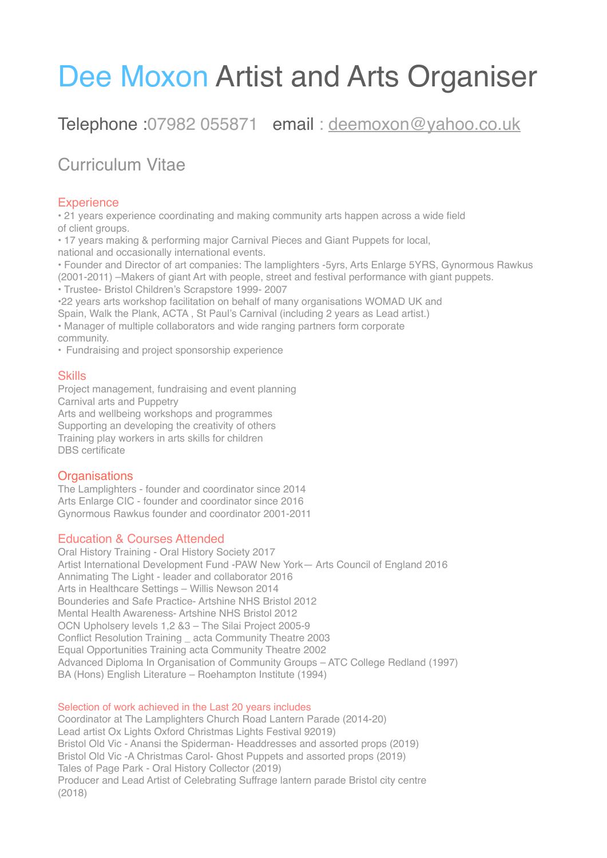# Dee Moxon Artist and Arts Organiser

# Telephone :07982 055871 email : [deemoxon@yahoo.co.uk](mailto:deemoxon@yahoo.co.uk)

# Curriculum Vitae

### **Experience**

• 21 years experience coordinating and making community arts happen across a wide field of client groups.

• 17 years making & performing major Carnival Pieces and Giant Puppets for local, national and occasionally international events.

• Founder and Director of art companies: The lamplighters -5yrs, Arts Enlarge 5YRS, Gynormous Rawkus (2001-2011) –Makers of giant Art with people, street and festival performance with giant puppets.

• Trustee- Bristol Children's Scrapstore 1999- 2007

•22 years arts workshop facilitation on behalf of many organisations WOMAD UK and Spain, Walk the Plank, ACTA , St Paul's Carnival (including 2 years as Lead artist.)

• Manager of multiple collaborators and wide ranging partners form corporate community.

• Fundraising and project sponsorship experience

#### Skills

Project management, fundraising and event planning Carnival arts and Puppetry Arts and wellbeing workshops and programmes Supporting an developing the creativity of others Training play workers in arts skills for children DBS certificate

## **Organisations**

The Lamplighters - founder and coordinator since 2014 Arts Enlarge CIC - founder and coordinator since 2016 Gynormous Rawkus founder and coordinator 2001-2011

#### Education & Courses Attended

Oral History Training - Oral History Society 2017 Artist International Development Fund -PAW New York— Arts Council of England 2016 Annimating The Light - leader and collaborator 2016 Arts in Healthcare Settings – Willis Newson 2014 Bounderies and Safe Practice- Artshine NHS Bristol 2012 Mental Health Awareness- Artshine NHS Bristol 2012 OCN Upholsery levels 1,2 &3 – The Silai Project 2005-9 Conflict Resolution Training \_ acta Community Theatre 2003 Equal Opportunities Training acta Community Theatre 2002 Advanced Diploma In Organisation of Community Groups – ATC College Redland (1997) BA (Hons) English Literature – Roehampton Institute (1994)

#### Selection of work achieved in the Last 20 years includes

Coordinator at The Lamplighters Church Road Lantern Parade (2014-20) Lead artist Ox Lights Oxford Christmas Lights Festival 92019) Bristol Old Vic - Anansi the Spiderman- Headdresses and assorted props (2019) Bristol Old Vic -A Christmas Carol- Ghost Puppets and assorted props (2019) Tales of Page Park - Oral History Collector (2019) Producer and Lead Artist of Celebrating Suffrage lantern parade Bristol city centre (2018)